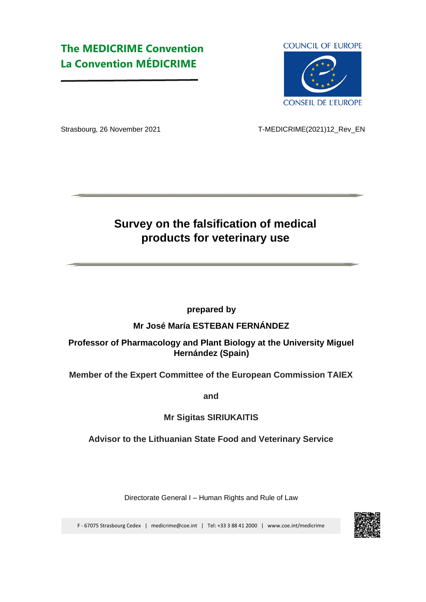# **The MEDICRIME Convention La Convention MÉDICRIME**

**COUNCIL OF EUROPE** 



Strasbourg, 26 November 2021T-MEDICRIME(2021)12\_Rev\_EN

# **Survey on the falsification of medical products for veterinary use**

**prepared by** 

### **Mr José María ESTEBAN FERNÁNDEZ**

## **Professor of Pharmacology and Plant Biology at the University Miguel Hernández (Spain)**

**Member of the Expert Committee of the European Commission TAIEX** 

**and** 

## **Mr Sigitas SIRIUKAITIS**

### **Advisor to the Lithuanian State Food and Veterinary Service**

Directorate General I – Human Rights and Rule of Law

F - 67075 Strasbourg Cedex | medicrime@coe.int | Tel: +33 3 88 41 2000 | w[ww.coe.int/medicrime](https://www.coe.int/en/web/medicrime/home)

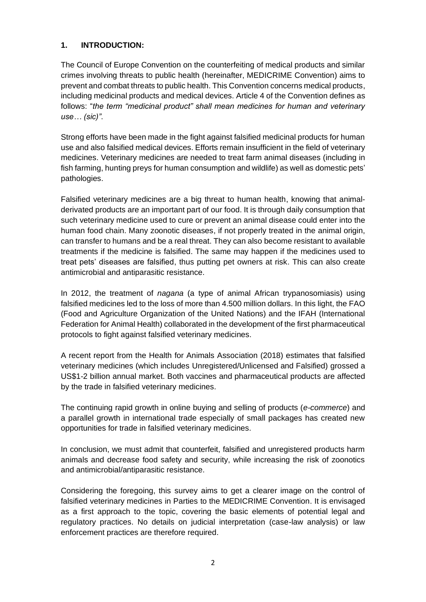#### **1. INTRODUCTION:**

The Council of Europe Convention on the counterfeiting of medical products and similar crimes involving threats to public health (hereinafter, MEDICRIME Convention) aims to prevent and combat threats to public health. This Convention concerns medical products, including medicinal products and medical devices. Article 4 of the Convention defines as follows: "*the term "medicinal product" shall mean medicines for human and veterinary use… (sic)"*.

Strong efforts have been made in the fight against falsified medicinal products for human use and also falsified medical devices. Efforts remain insufficient in the field of veterinary medicines. Veterinary medicines are needed to treat farm animal diseases (including in fish farming, hunting preys for human consumption and wildlife) as well as domestic pets' pathologies.

Falsified veterinary medicines are a big threat to human health, knowing that animalderivated products are an important part of our food. It is through daily consumption that such veterinary medicine used to cure or prevent an animal disease could enter into the human food chain. Many zoonotic diseases, if not properly treated in the animal origin, can transfer to humans and be a real threat. They can also become resistant to available treatments if the medicine is falsified. The same may happen if the medicines used to treat pets' diseases are falsified, thus putting pet owners at risk. This can also create antimicrobial and antiparasitic resistance.

In 2012, the treatment of *nagana* (a type of animal African trypanosomiasis) using falsified medicines led to the loss of more than 4.500 million dollars. In this light, the FAO (Food and Agriculture Organization of the United Nations) and the IFAH (International Federation for Animal Health) collaborated in the development of the first pharmaceutical protocols to fight against falsified veterinary medicines.

A recent report from the Health for Animals Association (2018) estimates that falsified veterinary medicines (which includes Unregistered/Unlicensed and Falsified) grossed a US\$1-2 billion annual market. Both vaccines and pharmaceutical products are affected by the trade in falsified veterinary medicines.

The continuing rapid growth in online buying and selling of products (*e-commerce*) and a parallel growth in international trade especially of small packages has created new opportunities for trade in falsified veterinary medicines.

In conclusion, we must admit that counterfeit, falsified and unregistered products harm animals and decrease food safety and security, while increasing the risk of zoonotics and antimicrobial/antiparasitic resistance.

Considering the foregoing, this survey aims to get a clearer image on the control of falsified veterinary medicines in Parties to the MEDICRIME Convention. It is envisaged as a first approach to the topic, covering the basic elements of potential legal and regulatory practices. No details on judicial interpretation (case-law analysis) or law enforcement practices are therefore required.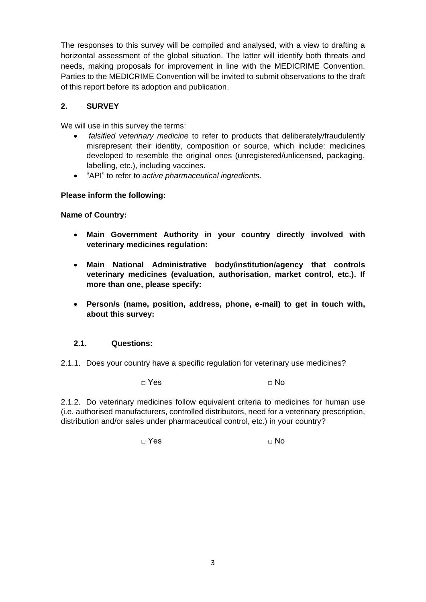The responses to this survey will be compiled and analysed, with a view to drafting a horizontal assessment of the global situation. The latter will identify both threats and needs, making proposals for improvement in line with the MEDICRIME Convention. Parties to the MEDICRIME Convention will be invited to submit observations to the draft of this report before its adoption and publication.

#### **2. SURVEY**

We will use in this survey the terms:

- *falsified veterinary medicine* to refer to products that deliberately/fraudulently misrepresent their identity, composition or source, which include: medicines developed to resemble the original ones (unregistered/unlicensed, packaging, labelling, etc.), including vaccines.
- "API" to refer to *active pharmaceutical ingredients.*

#### **Please inform the following:**

**Name of Country:** 

- **Main Government Authority in your country directly involved with veterinary medicines regulation:**
- **Main National Administrative body/institution/agency that controls veterinary medicines (evaluation, authorisation, market control, etc.). If more than one, please specify:**
- **Person/s (name, position, address, phone, e-mail) to get in touch with, about this survey:**

#### **2.1. Questions:**

2.1.1. Does your country have a specific regulation for veterinary use medicines?

 $\Box$  Yes  $\Box$  No

2.1.2. Do veterinary medicines follow equivalent criteria to medicines for human use (i.e. authorised manufacturers, controlled distributors, need for a veterinary prescription, distribution and/or sales under pharmaceutical control, etc.) in your country?

□ Yes □ No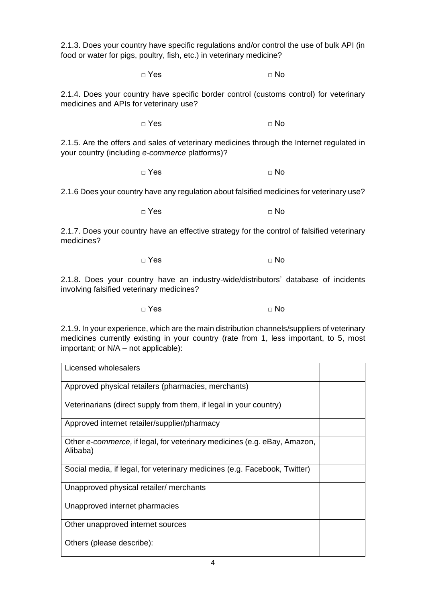2.1.3. Does your country have specific regulations and/or control the use of bulk API (in food or water for pigs, poultry, fish, etc.) in veterinary medicine?

 $\Box$  Yes  $\Box$  No

2.1.4. Does your country have specific border control (customs control) for veterinary medicines and APIs for veterinary use?

 $\Box$  Yes  $\Box$  No

2.1.5. Are the offers and sales of veterinary medicines through the Internet regulated in your country (including *e-commerce* platforms)?

 $\Box$  Yes  $\Box$  No

2.1.6 Does your country have any regulation about falsified medicines for veterinary use?

 $\Box$  Yes  $\Box$  No

2.1.7. Does your country have an effective strategy for the control of falsified veterinary medicines?

□ Yes □ No

2.1.8. Does your country have an industry-wide/distributors' database of incidents involving falsified veterinary medicines?

□ Yes □ No

2.1.9. In your experience, which are the main distribution channels/suppliers of veterinary medicines currently existing in your country (rate from 1, less important, to 5, most important; or N/A – not applicable):

| Licensed wholesalers                                                                 |  |
|--------------------------------------------------------------------------------------|--|
| Approved physical retailers (pharmacies, merchants)                                  |  |
| Veterinarians (direct supply from them, if legal in your country)                    |  |
| Approved internet retailer/supplier/pharmacy                                         |  |
| Other e-commerce, if legal, for veterinary medicines (e.g. eBay, Amazon,<br>Alibaba) |  |
| Social media, if legal, for veterinary medicines (e.g. Facebook, Twitter)            |  |
| Unapproved physical retailer/ merchants                                              |  |
| Unapproved internet pharmacies                                                       |  |
| Other unapproved internet sources                                                    |  |
| Others (please describe):                                                            |  |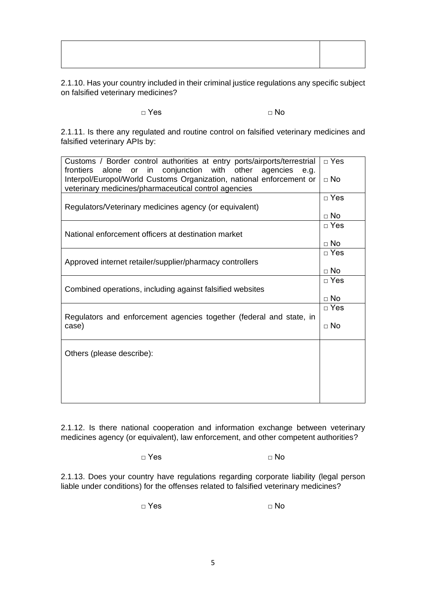2.1.10. Has your country included in their criminal justice regulations any specific subject on falsified veterinary medicines?

□ Yes □ No

2.1.11. Is there any regulated and routine control on falsified veterinary medicines and falsified veterinary APIs by:

| Customs / Border control authorities at entry ports/airports/terrestrial<br>alone or in conjunction with other agencies<br>frontiers<br>e.g. | $\Box$ Yes                |  |  |  |
|----------------------------------------------------------------------------------------------------------------------------------------------|---------------------------|--|--|--|
| Interpol/Europol/World Customs Organization, national enforcement or<br>veterinary medicines/pharmaceutical control agencies                 |                           |  |  |  |
|                                                                                                                                              |                           |  |  |  |
| Regulators/Veterinary medicines agency (or equivalent)                                                                                       |                           |  |  |  |
| National enforcement officers at destination market                                                                                          | $\sqcap$ Yes              |  |  |  |
|                                                                                                                                              |                           |  |  |  |
|                                                                                                                                              |                           |  |  |  |
| Approved internet retailer/supplier/pharmacy controllers                                                                                     |                           |  |  |  |
|                                                                                                                                              | $\sqcap$ Yes              |  |  |  |
| Combined operations, including against falsified websites                                                                                    |                           |  |  |  |
|                                                                                                                                              | $\Box$ No<br>$\sqcap$ Yes |  |  |  |
| Regulators and enforcement agencies together (federal and state, in<br>case)                                                                 |                           |  |  |  |
|                                                                                                                                              | $\Box$ No                 |  |  |  |
|                                                                                                                                              |                           |  |  |  |
| Others (please describe):                                                                                                                    |                           |  |  |  |
|                                                                                                                                              |                           |  |  |  |
|                                                                                                                                              |                           |  |  |  |
|                                                                                                                                              |                           |  |  |  |

2.1.12. Is there national cooperation and information exchange between veterinary medicines agency (or equivalent), law enforcement, and other competent authorities?

□ Yes □ No

2.1.13. Does your country have regulations regarding corporate liability (legal person liable under conditions) for the offenses related to falsified veterinary medicines?

 $\Box$  Yes  $\Box$  No